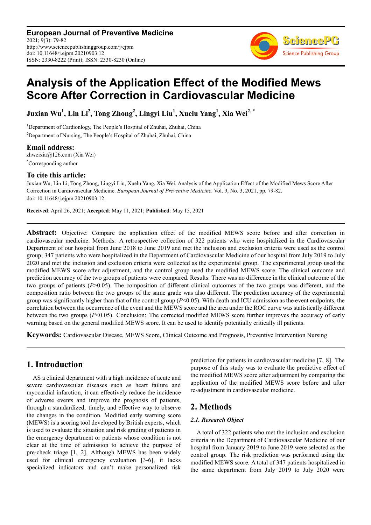**European Journal of Preventive Medicine** 2021; 9(3): 79-82 http://www.sciencepublishinggroup.com/j/ejpm doi: 10.11648/j.ejpm.20210903.12 ISSN: 2330-8222 (Print); ISSN: 2330-8230 (Online)



# **Analysis of the Application Effect of the Modified Mews Score After Correction in Cardiovascular Medicine**

**Juxian Wu<sup>1</sup> , Lin Li<sup>2</sup> , Tong Zhong<sup>2</sup> , Lingyi Liu<sup>1</sup> , Xuelu Yang<sup>1</sup> , Xia Wei2, \***

<sup>1</sup>Department of Cardionlogy, The People's Hospital of Zhuhai, Zhuhai, China <sup>2</sup>Department of Nursing, The People's Hospital of Zhuhai, Zhuhai, China

**Email address:**<br>zhweixia@126.com (Xia Wei) \*Corresponding author

### **To cite this article:**

Juxian Wu, Lin Li, Tong Zhong, Lingyi Liu, Xuelu Yang, Xia Wei. Analysis of the Application Effect of the Modified Mews Score After Correction in Cardiovascular Medicine. *European Journal of Preventive Medicine*. Vol. 9, No. 3, 2021, pp. 79-82. doi: 10.11648/j.ejpm.20210903.12

**Received**: April 26, 2021; **Accepted**: May 11, 2021; **Published**: May 15, 2021

**Abstract:** Objective: Compare the application effect of the modified MEWS score before and after correction in cardiovascular medicine. Methods: A retrospective collection of 322 patients who were hospitalized in the Cardiovascular Department of our hospital from June 2018 to June 2019 and met the inclusion and exclusion criteria were used as the control group; 347 patients who were hospitalized in the Department of Cardiovascular Medicine of our hospital from July 2019 to July 2020 and met the inclusion and exclusion criteria were collected as the experimental group. The experimental group used the modified MEWS score after adjustment, and the control group used the modified MEWS score. The clinical outcome and prediction accuracy of the two groups of patients were compared. Results: There was no difference in the clinical outcome of the two groups of patients (*P*>0.05). The composition of different clinical outcomes of the two groups was different, and the composition ratio between the two groups of the same grade was also different. The prediction accuracy of the experimental group was significantly higher than that of the control group (*P*<0.05). With death and ICU admission as the event endpoints, the correlation between the occurrence of the event and the MEWS score and the area under the ROC curve was statistically different between the two groups (*P*<0.05). Conclusion: The corrected modified MEWS score further improves the accuracy of early warning based on the general modified MEWS score. It can be used to identify potentially critically ill patients.

**Keywords:** Cardiovascular Disease, MEWS Score, Clinical Outcome and Prognosis, Preventive Intervention Nursing

# **1. Introduction**

AS a clinical department with a high incidence of acute and severe cardiovascular diseases such as heart failure and myocardial infarction, it can effectively reduce the incidence of adverse events and improve the prognosis of patients, through a standardized, timely, and effective way to observe the changes in the condition. Modified early warning score (MEWS) is a scoring tool developed by British experts, which is used to evaluate the situation and risk grading of patients in the emergency department or patients whose condition is not clear at the time of admission to achieve the purpose of pre-check triage [1, 2]. Although MEWS has been widely used for clinical emergency evaluation [3-6], it lacks specialized indicators and can't make personalized risk prediction for patients in cardiovascular medicine [7, 8]. The purpose of this study was to evaluate the predictive effect of the modified MEWS score after adjustment by comparing the application of the modified MEWS score before and after re-adjustment in cardiovascular medicine.

# **2. Methods**

### *2.1. Research Object*

A total of 322 patients who met the inclusion and exclusion criteria in the Department of Cardiovascular Medicine of our hospital from January 2019 to June 2019 were selected as the control group. The risk prediction was performed using the modified MEWS score. A total of 347 patients hospitalized in the same department from July 2019 to July 2020 were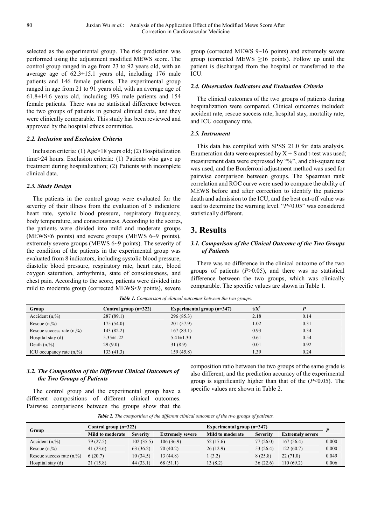selected as the experimental group. The risk prediction was performed using the adjustment modified MEWS score. The control group ranged in age from 23 to 92 years old, with an average age of 62.3±15.1 years old, including 176 male patients and 146 female patients. The experimental group ranged in age from 21 to 91 years old, with an average age of 61.8±14.6 years old, including 193 male patients and 154 female patients. There was no statistical difference between the two groups of patients in general clinical data, and they were clinically comparable. This study has been reviewed and approved by the hospital ethics committee.

#### *2.2. Inclusion and Exclusion Criteria*

Inclusion criteria: (1) Age>18 years old; (2) Hospitalization time>24 hours. Exclusion criteria: (1) Patients who gave up treatment during hospitalization; (2) Patients with incomplete clinical data.

#### *2.3. Study Design*

The patients in the control group were evaluated for the severity of their illness from the evaluation of 5 indicators: heart rate, systolic blood pressure, respiratory frequency, body temperature, and consciousness. According to the scores, the patients were divided into mild and moderate groups (MEWS<6 points) and severe groups (MEWS 6~9 points), extremely severe groups (MEWS 6~9 points). The severity of the condition of the patients in the experimental group was evaluated from 8 indicators, including systolic blood pressure, diastolic blood pressure, respiratory rate, heart rate, blood oxygen saturation, arrhythmia, state of consciousness, and chest pain. According to the score, patients were divided into mild to moderate group (corrected MEWS<9 points), severe

group (corrected MEWS 9~16 points) and extremely severe group (corrected MEWS  $\geq 16$  points). Follow up until the patient is discharged from the hospital or transferred to the **ICU.** 

#### *2.4. Observation Indicators and Evaluation Criteria*

The clinical outcomes of the two groups of patients during hospitalization were compared. Clinical outcomes included: accident rate, rescue success rate, hospital stay, mortality rate, and ICU occupancy rate.

#### *2.5. Instrument*

This data has compiled with SPSS 21.0 for data analysis. Enumeration data were expressed by  $X \pm S$  and t-test was used; measurement data were expressed by "%", and chi-square test was used, and the Bonferroni adjustment method was used for pairwise comparison between groups. The Spearman rank correlation and ROC curve were used to compare the ability of MEWS before and after correction to identify the patients' death and admission to the ICU, and the best cut-off value was used to determine the warning level. "*P*<0.05" was considered statistically different.

### **3. Results**

#### *3.1. Comparison of the Clinical Outcome of the Two Groups of Patients*

There was no difference in the clinical outcome of the two groups of patients (*P*>0.05), and there was no statistical difference between the two groups, which was clinically comparable. The specific values are shown in Table 1.

| Group                        | Control group $(n=322)$ | Experimental group $(n=347)$ | $t/X^2$ |      |
|------------------------------|-------------------------|------------------------------|---------|------|
| Accident $(n, %)$            | 287(89.1)               | 296(85.3)                    | 2.18    | 0.14 |
| Rescue $(n, %)$              | 175(54.0)               | 201(57.9)                    | 1.02    | 0.31 |
| Rescue success rate $(n, %)$ | 143 (82.2)              | 167(83.1)                    | 0.93    | 0.34 |
| Hospital stay $(d)$          | $5.35 \pm 1.22$         | $5.41 \pm 1.30$              | 0.61    | 0.54 |
| Death $(n, %)$               | 29(9.0)                 | 31(8.9)                      | 0.01    | 0.92 |
| ICU occupancy rate $(n, %)$  | 133(41.3)               | 159(45.8)                    | 1.39    | 0.24 |

*Table 1. Comparison of clinical outcomes between the two groups.* 

### *3.2. The Composition of the Different Clinical Outcomes of the Two Groups of Patients*

The control group and the experimental group have a different compositions of different clinical outcomes. Pairwise comparisons between the groups show that the composition ratio between the two groups of the same grade is also different, and the prediction accuracy of the experimental group is significantly higher than that of the (*P*<0.05). The specific values are shown in Table 2.

*Table 2. The composition of the different clinical outcomes of the two groups of patients.* 

| Group                        | Control group (n=322)   |                 |                         | Experimental group $(n=347)$ |                 |                         |       |
|------------------------------|-------------------------|-----------------|-------------------------|------------------------------|-----------------|-------------------------|-------|
|                              | <b>Mild to moderate</b> | <b>Severity</b> | <b>Extremely severe</b> | <b>Mild to moderate</b>      | <b>Severity</b> | <b>Extremely severe</b> |       |
| Accident $(n, %)$            | 79 (27.5)               | 102(35.5)       | 106(36.9)               | 52 (17.6)                    | 77(26.0)        | 167(56.4)               | 0.000 |
| Rescue $(n,\%)$              | 41 $(23.6)$             | 63(36.2)        | 70(40.2)                | 26(12.9)                     | 53 $(26.4)$     | 122(60.7)               | 0.000 |
| Rescue success rate $(n, %)$ | 6(20.7)                 | 10(34.5)        | 13 (44.8)               | (3.2)                        | 8(25.8)         | 22(71.0)                | 0.049 |
| Hospital stay $(d)$          | 21(15.8)                | 44(33.1)        | 68(51.1)                | 13 (8.2)                     | 36(22.6)        | 110(69.2)               | 0.006 |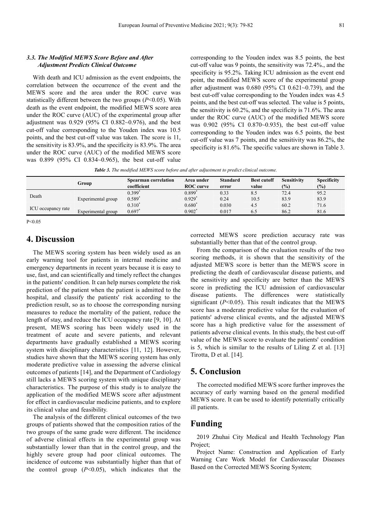#### *3.3. The Modified MEWS Score Before and After Adjustment Predicts Clinical Outcome*

With death and ICU admission as the event endpoints, the correlation between the occurrence of the event and the MEWS score and the area under the ROC curve was statistically different between the two groups (*P*<0.05). With death as the event endpoint, the modified MEWS score area under the ROC curve (AUC) of the experimental group after adjustment was 0.929 (95% CI 0.882~0.976), and the best cut-off value corresponding to the Youden index was 10.5 points, and the best cut-off value was taken. The score is 11, the sensitivity is 83.9%, and the specificity is 83.9%. The area under the ROC curve (AUC) of the modified MEWS score was 0.899 (95% CI 0.834~0.965), the best cut-off value

corresponding to the Youden index was 8.5 points, the best cut-off value was 9 points, the sensitivity was 72.4%., and the specificity is 95.2%. Taking ICU admission as the event end point, the modified MEWS score of the experimental group after adjustment was 0.680 (95% CI 0.621~0.739), and the best cut-off value corresponding to the Youden index was 4.5 points, and the best cut-off was selected. The value is 5 points, the sensitivity is 60.2%, and the specificity is 71.6%. The area under the ROC curve (AUC) of the modified MEWS score was 0.902 (95% CI 0.870~0.935), the best cut-off value corresponding to the Youden index was 6.5 points, the best cut-off value was 7 points, and the sensitivity was 86.2%, the specificity is 81.6%. The specific values are shown in Table 3.

*Table 3. The modified MEWS score before and after adjustment to predict clinical outcome.* 

|                    | Group              | <b>Spearman correlation</b><br>coefficient | Area under<br><b>ROC</b> curve               | <b>Standard</b><br>error | <b>Best cutoff</b><br>value | Sensitivity<br>(9/0) | <b>Specificity</b><br>(%) |
|--------------------|--------------------|--------------------------------------------|----------------------------------------------|--------------------------|-----------------------------|----------------------|---------------------------|
| Death              | Experimental group | 0.399'<br>0.589                            | $0.899$ <sup>*</sup><br>$0.929$ <sup>*</sup> | 0.33<br>0.24             | 8.5<br>10.5                 | 72.4<br>83.9         | 95.2<br>83.9              |
| ICU occupancy rate | Experimental group | $0.310^{*}$<br>0.697                       | $0.680^{*}$<br>$0.902^*$                     | 0.030<br>0.017           | 4.5<br>6.5                  | 60.2<br>86.2         | 71.6<br>81.6              |

 $P < 0.05$ 

### **4. Discussion**

The MEWS scoring system has been widely used as an early warning tool for patients in internal medicine and emergency departments in recent years because it is easy to use, fast, and can scientifically and timely reflect the changes in the patients' condition. It can help nurses complete the risk prediction of the patient when the patient is admitted to the hospital, and classify the patients' risk according to the prediction result, so as to choose the corresponding nursing measures to reduce the mortality of the patient, reduce the length of stay, and reduce the ICU occupancy rate [9, 10]. At present, MEWS scoring has been widely used in the treatment of acute and severe patients, and relevant departments have gradually established a MEWS scoring system with disciplinary characteristics [11, 12]. However, studies have shown that the MEWS scoring system has only moderate predictive value in assessing the adverse clinical outcomes of patients [14], and the Department of Cardiology still lacks a MEWS scoring system with unique disciplinary characteristics. The purpose of this study is to analyze the application of the modified MEWS score after adjustment for effect in cardiovascular medicine patients, and to explore its clinical value and feasibility.

The analysis of the different clinical outcomes of the two groups of patients showed that the composition ratios of the two groups of the same grade were different. The incidence of adverse clinical effects in the experimental group was substantially lower than that in the control group, and the highly severe group had poor clinical outcomes. The incidence of outcome was substantially higher than that of the control group  $(P<0.05)$ , which indicates that the

corrected MEWS score prediction accuracy rate was substantially better than that of the control group.

From the comparison of the evaluation results of the two scoring methods, it is shown that the sensitivity of the adjusted MEWS score is better than the MEWS score in predicting the death of cardiovascular disease patients, and the sensitivity and specificity are better than the MEWS score in predicting the ICU admission of cardiovascular disease patients. The differences were statistically significant (*P*<0.05). This result indicates that the MEWS score has a moderate predictive value for the evaluation of patients' adverse clinical events, and the adjusted MEWS score has a high predictive value for the assessment of patients adverse clinical events. In this study, the best cut-off value of the MEWS score to evaluate the patients' condition is 5, which is similar to the results of Liling Z et al. [13] Tirotta, D et al. [14].

### **5. Conclusion**

The corrected modified MEWS score further improves the accuracy of early warning based on the general modified MEWS score. It can be used to identify potentially critically ill patients.

### **Funding**

2019 Zhuhai City Medical and Health Technology Plan Project;

Project Name: Construction and Application of Early Warning Care Work Model for Cardiovascular Diseases Based on the Corrected MEWS Scoring System;